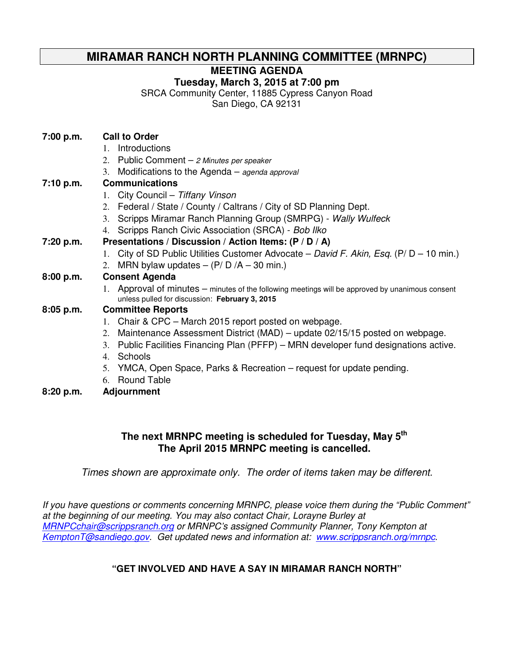# **MIRAMAR RANCH NORTH PLANNING COMMITTEE (MRNPC)**

**MEETING AGENDA** 

**Tuesday, March 3, 2015 at 7:00 pm** 

SRCA Community Center, 11885 Cypress Canyon Road

San Diego, CA 92131

| 7:00 p.m.   | <b>Call to Order</b>                                                                                                                               |
|-------------|----------------------------------------------------------------------------------------------------------------------------------------------------|
|             | Introductions<br>$1_{\cdots}$                                                                                                                      |
|             | 2. Public Comment - 2 Minutes per speaker                                                                                                          |
|             | Modifications to the Agenda $-$ agenda approval<br>3.                                                                                              |
| 7:10 p.m.   | <b>Communications</b>                                                                                                                              |
|             | 1. City Council - Tiffany Vinson                                                                                                                   |
|             | 2. Federal / State / County / Caltrans / City of SD Planning Dept.                                                                                 |
|             | 3. Scripps Miramar Ranch Planning Group (SMRPG) - Wally Wulfeck                                                                                    |
|             | 4. Scripps Ranch Civic Association (SRCA) - Bob Ilko                                                                                               |
| 7:20 p.m.   | Presentations / Discussion / Action Items: (P / D / A)                                                                                             |
|             | 1. City of SD Public Utilities Customer Advocate – David F. Akin, Esq. (P/ $D - 10$ min.)                                                          |
|             | 2. MRN bylaw updates $-$ (P/D/A $-$ 30 min.)                                                                                                       |
| 8:00 p.m.   | <b>Consent Agenda</b>                                                                                                                              |
|             | 1. Approval of minutes – minutes of the following meetings will be approved by unanimous consent<br>unless pulled for discussion: February 3, 2015 |
| $8:05$ p.m. | <b>Committee Reports</b>                                                                                                                           |
|             | 1. Chair & CPC – March 2015 report posted on webpage.                                                                                              |
|             | Maintenance Assessment District (MAD) - update 02/15/15 posted on webpage.<br>2.                                                                   |
|             | Public Facilities Financing Plan (PFFP) – MRN developer fund designations active.<br>3.                                                            |
|             | Schools<br>4.                                                                                                                                      |
|             | 5. YMCA, Open Space, Parks & Recreation – request for update pending.                                                                              |
|             | 6. Round Table                                                                                                                                     |

**8:20 p.m. Adjournment** 

## **The next MRNPC meeting is scheduled for Tuesday, May 5th The April 2015 MRNPC meeting is cancelled.**

Times shown are approximate only. The order of items taken may be different.

If you have questions or comments concerning MRNPC, please voice them during the "Public Comment" at the beginning of our meeting. You may also contact Chair, Lorayne Burley at MRNPCchair@scrippsranch.org or MRNPC's assigned Community Planner, Tony Kempton at KemptonT@sandiego.gov. Get updated news and information at: www.scrippsranch.org/mrnpc.

# **"GET INVOLVED AND HAVE A SAY IN MIRAMAR RANCH NORTH"**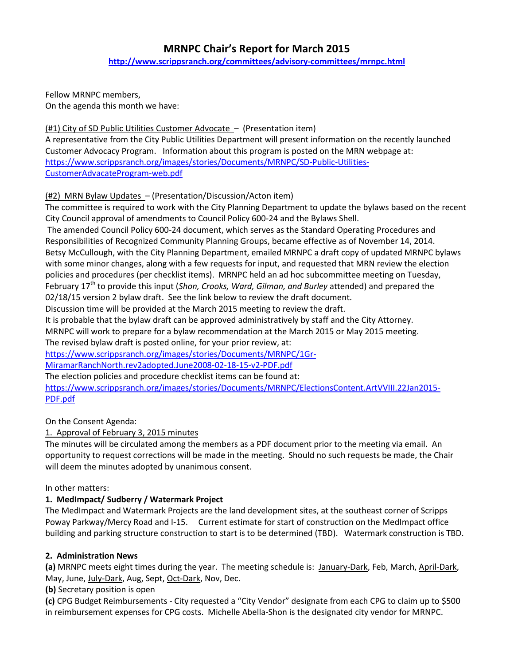# MRNPC Chair's Report for March 2015 http://www.scrippsranch.org/committees/advisory-committees/mrnpc.html

Fellow MRNPC members, On the agenda this month we have:

(#1) City of SD Public Utilities Customer Advocate – (Presentation item)

A representative from the City Public Utilities Department will present information on the recently launched Customer Advocacy Program. Information about this program is posted on the MRN webpage at: https://www.scrippsranch.org/images/stories/Documents/MRNPC/SD-Public-Utilities-CustomerAdvacateProgram-web.pdf

#### (#2) MRN Bylaw Updates – (Presentation/Discussion/Acton item)

The committee is required to work with the City Planning Department to update the bylaws based on the recent City Council approval of amendments to Council Policy 600-24 and the Bylaws Shell.

 The amended Council Policy 600-24 document, which serves as the Standard Operating Procedures and Responsibilities of Recognized Community Planning Groups, became effective as of November 14, 2014. Betsy McCullough, with the City Planning Department, emailed MRNPC a draft copy of updated MRNPC bylaws with some minor changes, along with a few requests for input, and requested that MRN review the election policies and procedures (per checklist items). MRNPC held an ad hoc subcommittee meeting on Tuesday, February  $17<sup>th</sup>$  to provide this input (Shon, Crooks, Ward, Gilman, and Burley attended) and prepared the 02/18/15 version 2 bylaw draft. See the link below to review the draft document.

Discussion time will be provided at the March 2015 meeting to review the draft.

It is probable that the bylaw draft can be approved administratively by staff and the City Attorney.

MRNPC will work to prepare for a bylaw recommendation at the March 2015 or May 2015 meeting.

The revised bylaw draft is posted online, for your prior review, at:

https://www.scrippsranch.org/images/stories/Documents/MRNPC/1Gr-

MiramarRanchNorth.rev2adopted.June2008-02-18-15-v2-PDF.pdf

The election policies and procedure checklist items can be found at:

https://www.scrippsranch.org/images/stories/Documents/MRNPC/ElectionsContent.ArtVVIII.22Jan2015- PDF.pdf

On the Consent Agenda:

1. Approval of February 3, 2015 minutes

The minutes will be circulated among the members as a PDF document prior to the meeting via email. An opportunity to request corrections will be made in the meeting. Should no such requests be made, the Chair will deem the minutes adopted by unanimous consent.

#### In other matters:

#### 1. MedImpact/ Sudberry / Watermark Project

The MedImpact and Watermark Projects are the land development sites, at the southeast corner of Scripps Poway Parkway/Mercy Road and I-15. Current estimate for start of construction on the MedImpact office building and parking structure construction to start is to be determined (TBD). Watermark construction is TBD.

#### 2. Administration News

(a) MRNPC meets eight times during the year. The meeting schedule is: January-Dark, Feb, March, April-Dark, May, June, July-Dark, Aug, Sept, Oct-Dark, Nov, Dec.

(b) Secretary position is open

(c) CPG Budget Reimbursements - City requested a "City Vendor" designate from each CPG to claim up to \$500 in reimbursement expenses for CPG costs. Michelle Abella-Shon is the designated city vendor for MRNPC.